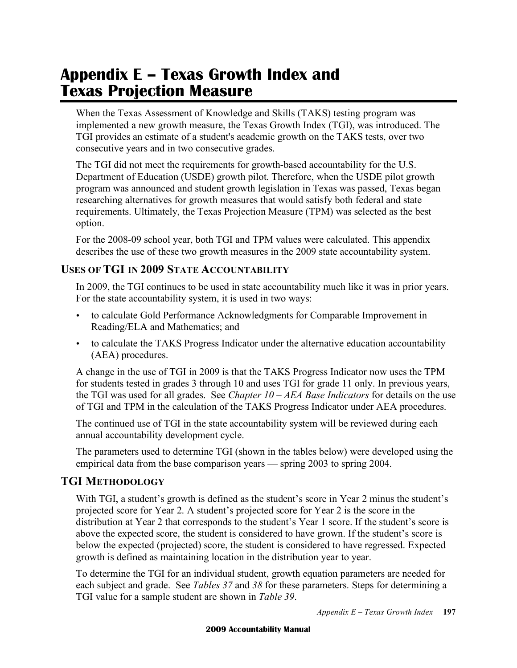# **Appendix E – Texas Growth Index and Texas Projection Measure**

 When the Texas Assessment of Knowledge and Skills (TAKS) testing program was implemented a new growth measure, the Texas Growth Index (TGI), was introduced. The TGI provides an estimate of a student's academic growth on the TAKS tests, over two consecutive years and in two consecutive grades.

 The TGI did not meet the requirements for growth-based accountability for the U.S. Department of Education (USDE) growth pilot. Therefore, when the USDE pilot growth program was announced and student growth legislation in Texas was passed, Texas began researching alternatives for growth measures that would satisfy both federal and state requirements. Ultimately, the Texas Projection Measure (TPM) was selected as the best option.

 For the 2008-09 school year, both TGI and TPM values were calculated. This appendix describes the use of these two growth measures in the 2009 state accountability system.

# **USES OF TGI IN 2009 STATE ACCOUNTABILITY**

 In 2009, the TGI continues to be used in state accountability much like it was in prior years. For the state accountability system, it is used in two ways:

- • to calculate Gold Performance Acknowledgments for Comparable Improvement in Reading/ELA and Mathematics; and
- • to calculate the TAKS Progress Indicator under the alternative education accountability (AEA) procedures.

 A change in the use of TGI in 2009 is that the TAKS Progress Indicator now uses the TPM for students tested in grades 3 through 10 and uses TGI for grade 11 only. In previous years, the TGI was used for all grades. See *Chapter 10 – AEA Base Indicators* for details on the use of TGI and TPM in the calculation of the TAKS Progress Indicator under AEA procedures.

 The continued use of TGI in the state accountability system will be reviewed during each annual accountability development cycle.

 The parameters used to determine TGI (shown in the tables below) were developed using the empirical data from the base comparison years — spring 2003 to spring 2004.

# **TGI METHODOLOGY**

 With TGI, a student's growth is defined as the student's score in Year 2 minus the student's projected score for Year 2. A student's projected score for Year 2 is the score in the distribution at Year 2 that corresponds to the student's Year 1 score. If the student's score is above the expected score, the student is considered to have grown. If the student's score is below the expected (projected) score, the student is considered to have regressed. Expected growth is defined as maintaining location in the distribution year to year.

 To determine the TGI for an individual student, growth equation parameters are needed for each subject and grade. See *Tables 37* and *38* for these parameters. Steps for determining a TGI value for a sample student are shown in *Table 39*.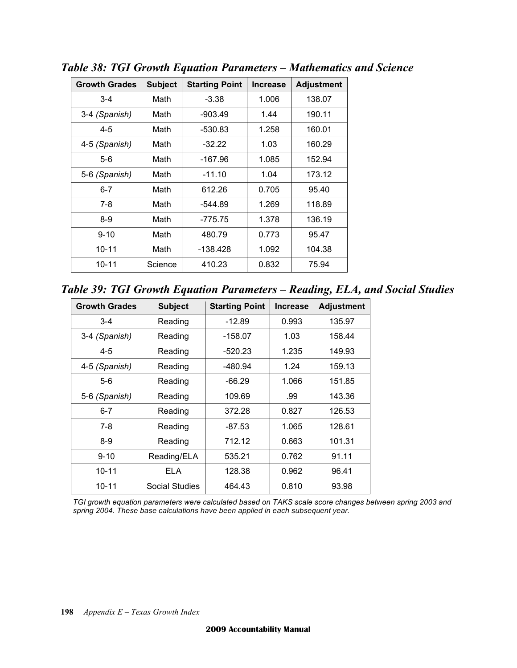| <b>Growth Grades</b> | <b>Subject</b> | <b>Starting Point</b> | <b>Increase</b> | <b>Adjustment</b> |
|----------------------|----------------|-----------------------|-----------------|-------------------|
| $3 - 4$              | Math           | $-3.38$               | 1.006           | 138.07            |
| 3-4 (Spanish)        | Math           | -903.49               | 1.44            | 190.11            |
| $4 - 5$              | Math           | $-530.83$             | 1.258           | 160.01            |
| 4-5 (Spanish)        | Math           | $-32.22$              | 1.03            | 160.29            |
| $5-6$                | Math           | $-167.96$             | 1.085           | 152.94            |
| 5-6 (Spanish)        | Math           | $-11.10$              | 1.04            | 173.12            |
| $6 - 7$              | Math           | 612.26                | 0.705           | 95.40             |
| $7-8$                | Math           | -544.89               | 1.269           | 118.89            |
| $8-9$                | Math           | $-775.75$             | 1.378           | 136.19            |
| $9 - 10$             | Math           | 480.79                | 0.773           | 95.47             |
| $10 - 11$            | Math           | $-138.428$            | 1.092           | 104.38            |
| 10-11                | Science        | 410.23                | 0.832           | 75.94             |

 *Table 38: TGI Growth Equation Parameters – Mathematics and Science* 

 *Table 39: TGI Growth Equation Parameters – Reading, ELA, and Social Studies* 

| <b>Growth Grades</b> | <b>Subject</b> | <b>Starting Point</b> | <b>Increase</b> | <b>Adjustment</b> |
|----------------------|----------------|-----------------------|-----------------|-------------------|
| $3 - 4$              | Reading        | $-12.89$              | 0.993           | 135.97            |
| 3-4 (Spanish)        | Reading        | $-158.07$             | 1.03            | 158.44            |
| $4 - 5$              | Reading        | $-520.23$             | 1.235           | 149.93            |
| 4-5 (Spanish)        | Reading        | -480.94               | 1.24            | 159.13            |
| $5-6$                | Reading        | $-66.29$              | 1.066           | 151.85            |
| 5-6 (Spanish)        | Reading        | 109.69                | .99             | 143.36            |
| $6 - 7$              | Reading        | 372.28                | 0.827           | 126.53            |
| $7-8$                | Reading        | $-87.53$              | 1.065           | 128.61            |
| $8-9$                | Reading        | 712.12                | 0.663           | 101.31            |
| $9 - 10$             | Reading/ELA    | 535.21                | 0.762           | 91.11             |
| $10 - 11$            | ELA            | 128.38                | 0.962           | 96.41             |
| $10 - 11$            | Social Studies | 464.43                | 0.810           | 93.98             |

 *TGI growth equation parameters were calculated based on TAKS scale score changes between spring 2003 and spring 2004. These base calculations have been applied in each subsequent year.*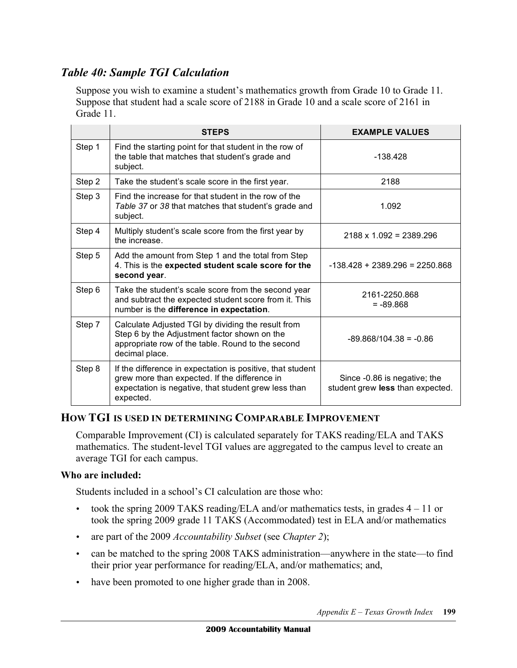# *Table 40: Sample TGI Calculation*

 Suppose you wish to examine a student's mathematics growth from Grade 10 to Grade 11. Suppose that student had a scale score of 2188 in Grade 10 and a scale score of 2161 in Grade 11.

|        | <b>STEPS</b>                                                                                                                                                                     | <b>EXAMPLE VALUES</b>                                            |
|--------|----------------------------------------------------------------------------------------------------------------------------------------------------------------------------------|------------------------------------------------------------------|
| Step 1 | Find the starting point for that student in the row of<br>the table that matches that student's grade and<br>subject.                                                            | $-138.428$                                                       |
| Step 2 | Take the student's scale score in the first year.                                                                                                                                | 2188                                                             |
| Step 3 | Find the increase for that student in the row of the<br>Table 37 or 38 that matches that student's grade and<br>subject.                                                         | 1.092                                                            |
| Step 4 | Multiply student's scale score from the first year by<br>the increase.                                                                                                           | $2188 \times 1.092 = 2389.296$                                   |
| Step 5 | Add the amount from Step 1 and the total from Step<br>4. This is the expected student scale score for the<br>second year.                                                        | $-138.428 + 2389.296 = 2250.868$                                 |
| Step 6 | Take the student's scale score from the second year<br>and subtract the expected student score from it. This<br>number is the difference in expectation.                         | 2161-2250.868<br>$= -89.868$                                     |
| Step 7 | Calculate Adjusted TGI by dividing the result from<br>Step 6 by the Adjustment factor shown on the<br>appropriate row of the table. Round to the second<br>decimal place.        | $-89.868/104.38 = -0.86$                                         |
| Step 8 | If the difference in expectation is positive, that student<br>grew more than expected. If the difference in<br>expectation is negative, that student grew less than<br>expected. | Since -0.86 is negative; the<br>student grew less than expected. |

# **HOW TGI IS USED IN DETERMINING COMPARABLE IMPROVEMENT**

 Comparable Improvement (CI) is calculated separately for TAKS reading/ELA and TAKS mathematics. The student-level TGI values are aggregated to the campus level to create an average TGI for each campus.

#### **Who are included:**

Students included in a school's CI calculation are those who:

- took the spring 2009 TAKS reading/ELA and/or mathematics tests, in grades  $4 11$  or took the spring 2009 grade 11 TAKS (Accommodated) test in ELA and/or mathematics
- • are part of the 2009 *Accountability Subset* (see *Chapter 2*);
- can be matched to the spring 2008 TAKS administration—anywhere in the state—to find their prior year performance for reading/ELA, and/or mathematics; and,
- have been promoted to one higher grade than in 2008.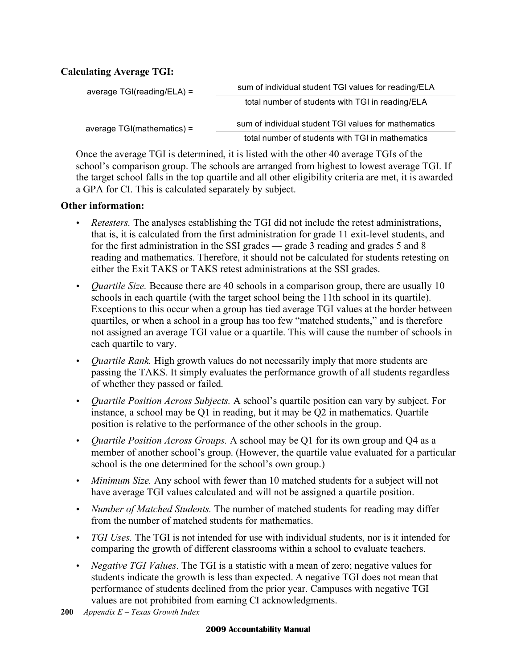#### **Calculating Average TGI:**

| average $TGI(reading/ELA) =$ | sum of individual student TGI values for reading/ELA |
|------------------------------|------------------------------------------------------|
|                              | total number of students with TGI in reading/ELA     |
| average $TGI(mathematics) =$ | sum of individual student TGI values for mathematics |
|                              | total number of students with TGI in mathematics     |

 Once the average TGI is determined, it is listed with the other 40 average TGIs of the school's comparison group. The schools are arranged from highest to lowest average TGI. If the target school falls in the top quartile and all other eligibility criteria are met, it is awarded a GPA for CI. This is calculated separately by subject.

#### **Other information:**

- • *Retesters.* The analyses establishing the TGI did not include the retest administrations, that is, it is calculated from the first administration for grade 11 exit-level students, and for the first administration in the SSI grades — grade 3 reading and grades 5 and 8 reading and mathematics. Therefore, it should not be calculated for students retesting on either the Exit TAKS or TAKS retest administrations at the SSI grades.
- *Quartile Size*. Because there are 40 schools in a comparison group, there are usually 10 schools in each quartile (with the target school being the 11th school in its quartile). Exceptions to this occur when a group has tied average TGI values at the border between quartiles, or when a school in a group has too few "matched students," and is therefore not assigned an average TGI value or a quartile. This will cause the number of schools in each quartile to vary.
- *Quartile Rank*. High growth values do not necessarily imply that more students are passing the TAKS. It simply evaluates the performance growth of all students regardless of whether they passed or failed.
- *Quartile Position Across Subjects*. A school's quartile position can vary by subject. For instance, a school may be Q1 in reading, but it may be Q2 in mathematics. Quartile position is relative to the performance of the other schools in the group.
- • *Quartile Position Across Groups.* A school may be Q1 for its own group and Q4 as a member of another school's group. (However, the quartile value evaluated for a particular school is the one determined for the school's own group.)
- *Minimum Size*. Any school with fewer than 10 matched students for a subject will not have average TGI values calculated and will not be assigned a quartile position.
- *Number of Matched Students*. The number of matched students for reading may differ from the number of matched students for mathematics.
- • *TGI Uses.* The TGI is not intended for use with individual students, nor is it intended for comparing the growth of different classrooms within a school to evaluate teachers.
- *Negative TGI Values*. The TGI is a statistic with a mean of zero; negative values for students indicate the growth is less than expected. A negative TGI does not mean that performance of students declined from the prior year. Campuses with negative TGI values are not prohibited from earning CI acknowledgments.
- **200** *Appendix E Texas Growth Index*